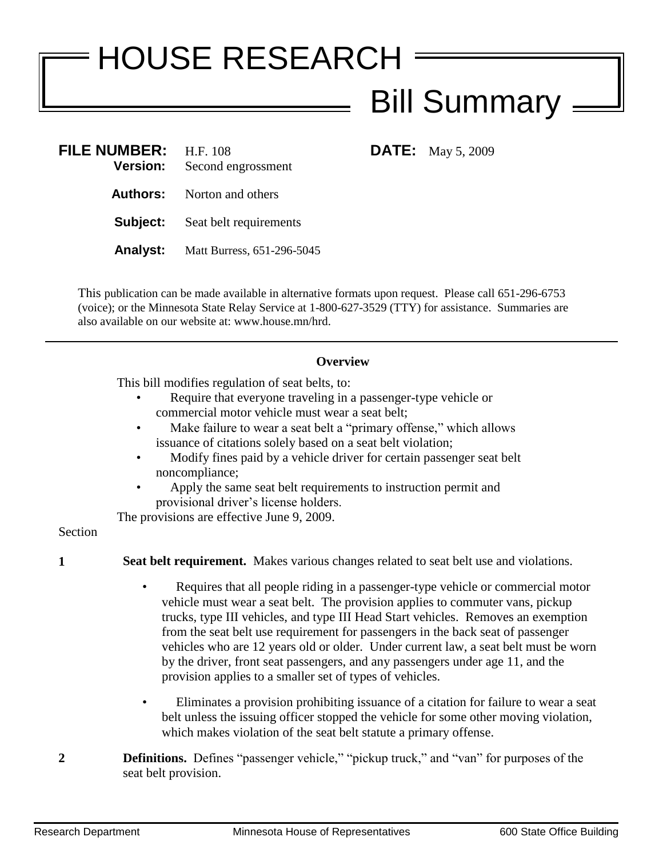## HOUSE RESEARCH Bill Summary

**DATE:** May 5, 2009

| <b>FILE NUMBER:</b><br><b>Version:</b> | H.F. 108<br>Second engrossment    |
|----------------------------------------|-----------------------------------|
|                                        | <b>Authors:</b> Norton and others |
| Subject:                               | Seat belt requirements            |
| Analyst:                               | Matt Burress, 651-296-5045        |

This publication can be made available in alternative formats upon request. Please call 651-296-6753 (voice); or the Minnesota State Relay Service at 1-800-627-3529 (TTY) for assistance. Summaries are also available on our website at: www.house.mn/hrd.

## **Overview**

This bill modifies regulation of seat belts, to:

- Require that everyone traveling in a passenger-type vehicle or commercial motor vehicle must wear a seat belt;
- Make failure to wear a seat belt a "primary offense," which allows issuance of citations solely based on a seat belt violation;
- Modify fines paid by a vehicle driver for certain passenger seat belt noncompliance;
- Apply the same seat belt requirements to instruction permit and provisional driver's license holders.

The provisions are effective June 9, 2009.

## Section

- **1 Seat belt requirement.** Makes various changes related to seat belt use and violations.
	- Requires that all people riding in a passenger-type vehicle or commercial motor vehicle must wear a seat belt. The provision applies to commuter vans, pickup trucks, type III vehicles, and type III Head Start vehicles. Removes an exemption from the seat belt use requirement for passengers in the back seat of passenger vehicles who are 12 years old or older. Under current law, a seat belt must be worn by the driver, front seat passengers, and any passengers under age 11, and the provision applies to a smaller set of types of vehicles.
	- Eliminates a provision prohibiting issuance of a citation for failure to wear a seat belt unless the issuing officer stopped the vehicle for some other moving violation, which makes violation of the seat belt statute a primary offense.
- **2 Definitions.** Defines "passenger vehicle," "pickup truck," and "van" for purposes of the seat belt provision.